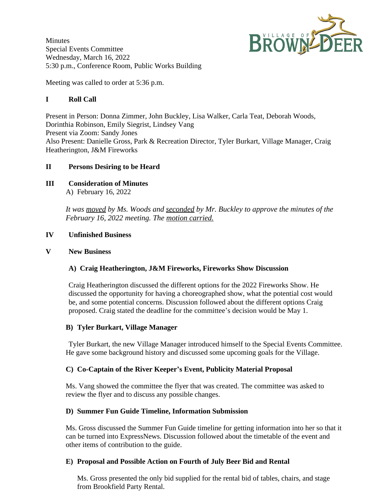BROWNLE

**Minutes** Special Events Committee Wednesday, March 16, 2022 5:30 p.m., Conference Room, Public Works Building

Meeting was called to order at 5:36 p.m.

# **I Roll Call**

Present in Person: Donna Zimmer, John Buckley, Lisa Walker, Carla Teat, Deborah Woods, Dorinthia Robinson, Emily Siegrist, Lindsey Vang Present via Zoom: Sandy Jones Also Present: Danielle Gross, Park & Recreation Director, Tyler Burkart, Village Manager, Craig Heatherington, J&M Fireworks

# **II Persons Desiring to be Heard**

**III Consideration of Minutes** A) February 16, 2022

> *It was moved by Ms. Woods and seconded by Mr. Buckley to approve the minutes of the February 16, 2022 meeting. The motion carried.*

# **IV Unfinished Business**

# **V New Business**

# **A) Craig Heatherington, J&M Fireworks, Fireworks Show Discussion**

Craig Heatherington discussed the different options for the 2022 Fireworks Show. He discussed the opportunity for having a choreographed show, what the potential cost would be, and some potential concerns. Discussion followed about the different options Craig proposed. Craig stated the deadline for the committee's decision would be May 1.

### **B) Tyler Burkart, Village Manager**

Tyler Burkart, the new Village Manager introduced himself to the Special Events Committee. He gave some background history and discussed some upcoming goals for the Village.

### **C) Co-Captain of the River Keeper's Event, Publicity Material Proposal**

Ms. Vang showed the committee the flyer that was created. The committee was asked to review the flyer and to discuss any possible changes.

### **D) Summer Fun Guide Timeline, Information Submission**

Ms. Gross discussed the Summer Fun Guide timeline for getting information into her so that it can be turned into ExpressNews. Discussion followed about the timetable of the event and other items of contribution to the guide.

### **E) Proposal and Possible Action on Fourth of July Beer Bid and Rental**

Ms. Gross presented the only bid supplied for the rental bid of tables, chairs, and stage from Brookfield Party Rental.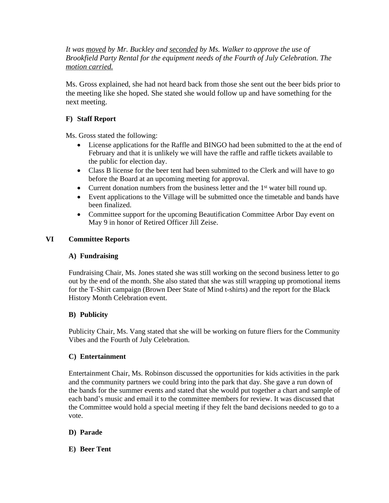*It was moved by Mr. Buckley and seconded by Ms. Walker to approve the use of Brookfield Party Rental for the equipment needs of the Fourth of July Celebration. The motion carried.*

Ms. Gross explained, she had not heard back from those she sent out the beer bids prior to the meeting like she hoped. She stated she would follow up and have something for the next meeting.

## **F) Staff Report**

Ms. Gross stated the following:

- License applications for the Raffle and BINGO had been submitted to the at the end of February and that it is unlikely we will have the raffle and raffle tickets available to the public for election day.
- Class B license for the beer tent had been submitted to the Clerk and will have to go before the Board at an upcoming meeting for approval.
- Current donation numbers from the business letter and the  $1<sup>st</sup>$  water bill round up.
- Event applications to the Village will be submitted once the timetable and bands have been finalized.
- Committee support for the upcoming Beautification Committee Arbor Day event on May 9 in honor of Retired Officer Jill Zeise.

### **VI Committee Reports**

#### **A) Fundraising**

Fundraising Chair, Ms. Jones stated she was still working on the second business letter to go out by the end of the month. She also stated that she was still wrapping up promotional items for the T-Shirt campaign (Brown Deer State of Mind t-shirts) and the report for the Black History Month Celebration event.

### **B) Publicity**

Publicity Chair, Ms. Vang stated that she will be working on future fliers for the Community Vibes and the Fourth of July Celebration.

### **C) Entertainment**

Entertainment Chair, Ms. Robinson discussed the opportunities for kids activities in the park and the community partners we could bring into the park that day. She gave a run down of the bands for the summer events and stated that she would put together a chart and sample of each band's music and email it to the committee members for review. It was discussed that the Committee would hold a special meeting if they felt the band decisions needed to go to a vote.

### **D) Parade**

**E) Beer Tent**